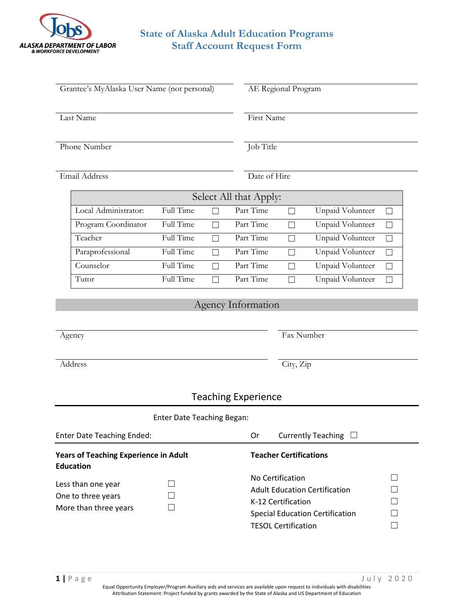

## **State of Alaska Adult Education Programs Staff Account Request Form**

| Grantee's MyAlaska User Name (not personal)                       |                                   |    |                                                                                                                                                                                                      | AE Regional Program          |                         |        |  |
|-------------------------------------------------------------------|-----------------------------------|----|------------------------------------------------------------------------------------------------------------------------------------------------------------------------------------------------------|------------------------------|-------------------------|--------|--|
| Last Name                                                         |                                   |    |                                                                                                                                                                                                      | First Name                   |                         |        |  |
| Phone Number                                                      |                                   |    |                                                                                                                                                                                                      | Job Title                    |                         |        |  |
| Email Address                                                     |                                   |    |                                                                                                                                                                                                      | Date of Hire                 |                         |        |  |
| Select All that Apply:                                            |                                   |    |                                                                                                                                                                                                      |                              |                         |        |  |
| Local Administrator:                                              | Full Time                         |    | Part Time                                                                                                                                                                                            | $\Box$                       | Unpaid Volunteer        | $\Box$ |  |
| Program Coordinator                                               | Full Time                         | П  | Part Time                                                                                                                                                                                            | $\Box$                       | <b>Unpaid Volunteer</b> | $\Box$ |  |
| Teacher                                                           | Full Time                         |    | Part Time                                                                                                                                                                                            | П                            | <b>Unpaid Volunteer</b> | $\Box$ |  |
| Paraprofessional                                                  | Full Time                         | П  | Part Time                                                                                                                                                                                            | $\Box$                       | <b>Unpaid Volunteer</b> | $\Box$ |  |
| Counselor                                                         | Full Time                         |    | Part Time                                                                                                                                                                                            | П                            | <b>Unpaid Volunteer</b> | П      |  |
| Tutor                                                             | Full Time                         |    | Part Time                                                                                                                                                                                            | Щ                            | Unpaid Volunteer        | П      |  |
| Agency Information<br>Agency                                      |                                   |    |                                                                                                                                                                                                      | Fax Number                   |                         |        |  |
| Address                                                           |                                   |    |                                                                                                                                                                                                      | City, Zip                    |                         |        |  |
| <b>Teaching Experience</b>                                        |                                   |    |                                                                                                                                                                                                      |                              |                         |        |  |
|                                                                   | <b>Enter Date Teaching Began:</b> |    |                                                                                                                                                                                                      |                              |                         |        |  |
| <b>Enter Date Teaching Ended:</b>                                 |                                   | Or |                                                                                                                                                                                                      | Currently Teaching $\square$ |                         |        |  |
| <b>Years of Teaching Experience in Adult</b><br><b>Education</b>  |                                   |    | <b>Teacher Certifications</b>                                                                                                                                                                        |                              |                         |        |  |
| Less than one year<br>One to three years<br>More than three years |                                   |    | No Certification<br>$\vert \ \ \vert$<br><b>Adult Education Certification</b><br>П<br>K-12 Certification<br>$\Box$<br><b>Special Education Certification</b><br><b>TESOL Certification</b><br>$\Box$ |                              |                         |        |  |